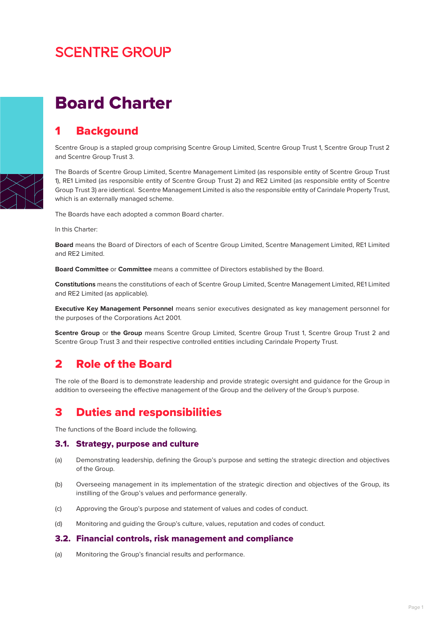# **SCENTRE GROUP**

# Board Charter

## 1 Backgound

Scentre Group is a stapled group comprising Scentre Group Limited, Scentre Group Trust 1, Scentre Group Trust 2 and Scentre Group Trust 3.

The Boards of Scentre Group Limited, Scentre Management Limited (as responsible entity of Scentre Group Trust 1), RE1 Limited (as responsible entity of Scentre Group Trust 2) and RE2 Limited (as responsible entity of Scentre Group Trust 3) are identical. Scentre Management Limited is also the responsible entity of Carindale Property Trust, which is an externally managed scheme.

The Boards have each adopted a common Board charter.

In this Charter:

**Board** means the Board of Directors of each of Scentre Group Limited, Scentre Management Limited, RE1 Limited and RE2 Limited.

**Board Committee** or **Committee** means a committee of Directors established by the Board.

**Constitutions** means the constitutions of each of Scentre Group Limited, Scentre Management Limited, RE1 Limited and RE2 Limited (as applicable).

**Executive Key Management Personnel** means senior executives designated as key management personnel for the purposes of the Corporations Act 2001.

**Scentre Group** or **the Group** means Scentre Group Limited, Scentre Group Trust 1, Scentre Group Trust 2 and Scentre Group Trust 3 and their respective controlled entities including Carindale Property Trust.

## 2 Role of the Board

The role of the Board is to demonstrate leadership and provide strategic oversight and guidance for the Group in addition to overseeing the effective management of the Group and the delivery of the Group's purpose.

## 3 Duties and responsibilities

The functions of the Board include the following.

#### 3.1. Strategy, purpose and culture

- (a) Demonstrating leadership, defining the Group's purpose and setting the strategic direction and objectives of the Group.
- (b) Overseeing management in its implementation of the strategic direction and objectives of the Group, its instilling of the Group's values and performance generally.
- (c) Approving the Group's purpose and statement of values and codes of conduct.
- (d) Monitoring and guiding the Group's culture, values, reputation and codes of conduct.

#### 3.2. Financial controls, risk management and compliance

(a) Monitoring the Group's financial results and performance.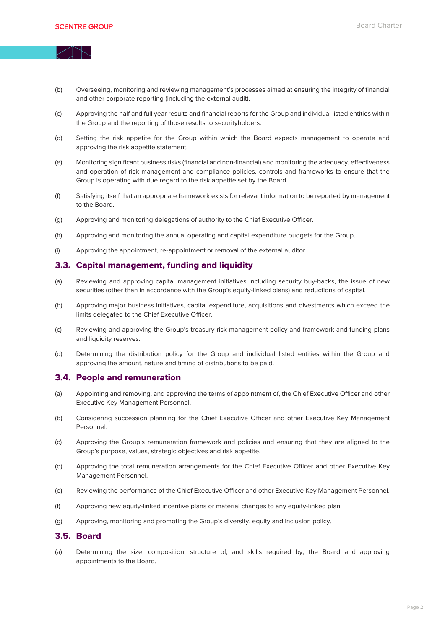

- (b) Overseeing, monitoring and reviewing management's processes aimed at ensuring the integrity of financial and other corporate reporting (including the external audit).
- (c) Approving the half and full year results and financial reports for the Group and individual listed entities within the Group and the reporting of those results to securityholders.
- (d) Setting the risk appetite for the Group within which the Board expects management to operate and approving the risk appetite statement.
- (e) Monitoring significant business risks (financial and non-financial) and monitoring the adequacy, effectiveness and operation of risk management and compliance policies, controls and frameworks to ensure that the Group is operating with due regard to the risk appetite set by the Board.
- (f) Satisfying itself that an appropriate framework exists for relevant information to be reported by management to the Board.
- (g) Approving and monitoring delegations of authority to the Chief Executive Officer.
- (h) Approving and monitoring the annual operating and capital expenditure budgets for the Group.
- (i) Approving the appointment, re-appointment or removal of the external auditor.

#### 3.3. Capital management, funding and liquidity

- (a) Reviewing and approving capital management initiatives including security buy-backs, the issue of new securities (other than in accordance with the Group's equity-linked plans) and reductions of capital.
- (b) Approving major business initiatives, capital expenditure, acquisitions and divestments which exceed the limits delegated to the Chief Executive Officer.
- (c) Reviewing and approving the Group's treasury risk management policy and framework and funding plans and liquidity reserves.
- (d) Determining the distribution policy for the Group and individual listed entities within the Group and approving the amount, nature and timing of distributions to be paid.

#### 3.4. People and remuneration

- (a) Appointing and removing, and approving the terms of appointment of, the Chief Executive Officer and other Executive Key Management Personnel.
- (b) Considering succession planning for the Chief Executive Officer and other Executive Key Management Personnel.
- (c) Approving the Group's remuneration framework and policies and ensuring that they are aligned to the Group's purpose, values, strategic objectives and risk appetite.
- (d) Approving the total remuneration arrangements for the Chief Executive Officer and other Executive Key Management Personnel.
- (e) Reviewing the performance of the Chief Executive Officer and other Executive Key Management Personnel.
- (f) Approving new equity-linked incentive plans or material changes to any equity-linked plan.
- (g) Approving, monitoring and promoting the Group's diversity, equity and inclusion policy.

#### 3.5. Board

(a) Determining the size, composition, structure of, and skills required by, the Board and approving appointments to the Board.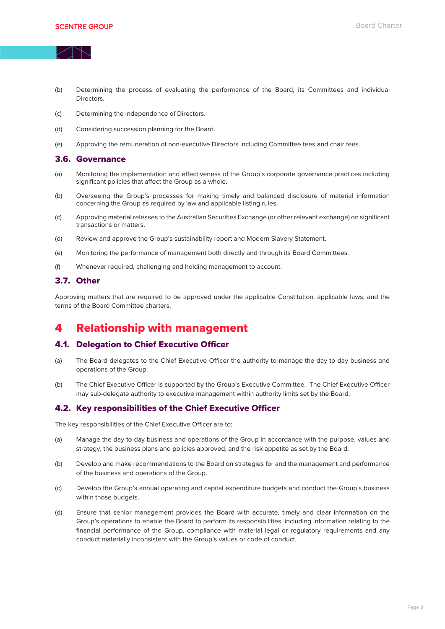

- (b) Determining the process of evaluating the performance of the Board, its Committees and individual **Directors**
- (c) Determining the independence of Directors.
- (d) Considering succession planning for the Board.
- (e) Approving the remuneration of non-executive Directors including Committee fees and chair fees.

#### 3.6. Governance

- (a) Monitoring the implementation and effectiveness of the Group's corporate governance practices including significant policies that affect the Group as a whole.
- (b) Overseeing the Group's processes for making timely and balanced disclosure of material information concerning the Group as required by law and applicable listing rules.
- (c) Approving material releases to the Australian Securities Exchange (or other relevant exchange) on significant transactions or matters.
- (d) Review and approve the Group's sustainability report and Modern Slavery Statement.
- (e) Monitoring the performance of management both directly and through its Board Committees.
- (f) Whenever required, challenging and holding management to account.

#### 3.7. Other

Approving matters that are required to be approved under the applicable Constitution, applicable laws, and the terms of the Board Committee charters.

## 4 Relationship with management

#### 4.1. Delegation to Chief Executive Officer

- (a) The Board delegates to the Chief Executive Officer the authority to manage the day to day business and operations of the Group.
- (b) The Chief Executive Officer is supported by the Group's Executive Committee. The Chief Executive Officer may sub-delegate authority to executive management within authority limits set by the Board.

#### 4.2. Key responsibilities of the Chief Executive Officer

The key responsibilities of the Chief Executive Officer are to:

- (a) Manage the day to day business and operations of the Group in accordance with the purpose, values and strategy, the business plans and policies approved, and the risk appetite as set by the Board.
- (b) Develop and make recommendations to the Board on strategies for and the management and performance of the business and operations of the Group.
- (c) Develop the Group's annual operating and capital expenditure budgets and conduct the Group's business within those budgets.
- (d) Ensure that senior management provides the Board with accurate, timely and clear information on the Group's operations to enable the Board to perform its responsibilities, including information relating to the financial performance of the Group, compliance with material legal or regulatory requirements and any conduct materially inconsistent with the Group's values or code of conduct.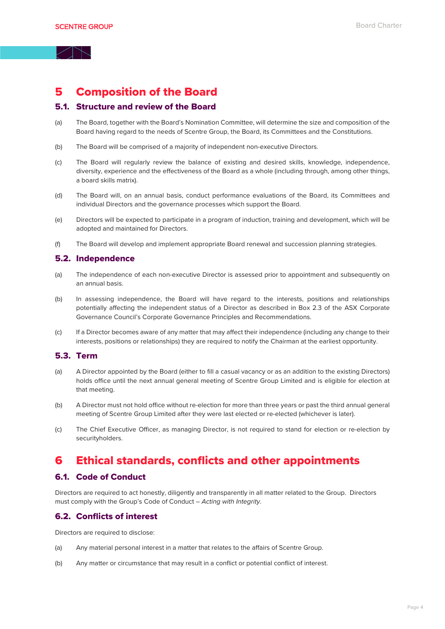## 5 Composition of the Board

#### 5.1. Structure and review of the Board

- (a) The Board, together with the Board's Nomination Committee, will determine the size and composition of the Board having regard to the needs of Scentre Group, the Board, its Committees and the Constitutions.
- (b) The Board will be comprised of a majority of independent non-executive Directors.
- (c) The Board will regularly review the balance of existing and desired skills, knowledge, independence, diversity, experience and the effectiveness of the Board as a whole (including through, among other things, a board skills matrix).
- (d) The Board will, on an annual basis, conduct performance evaluations of the Board, its Committees and individual Directors and the governance processes which support the Board.
- (e) Directors will be expected to participate in a program of induction, training and development, which will be adopted and maintained for Directors.
- (f) The Board will develop and implement appropriate Board renewal and succession planning strategies.

#### 5.2. Independence

- (a) The independence of each non-executive Director is assessed prior to appointment and subsequently on an annual basis.
- (b) In assessing independence, the Board will have regard to the interests, positions and relationships potentially affecting the independent status of a Director as described in Box 2.3 of the ASX Corporate Governance Council's Corporate Governance Principles and Recommendations.
- (c) If a Director becomes aware of any matter that may affect their independence (including any change to their interests, positions or relationships) they are required to notify the Chairman at the earliest opportunity.

### 5.3. Term

- (a) A Director appointed by the Board (either to fill a casual vacancy or as an addition to the existing Directors) holds office until the next annual general meeting of Scentre Group Limited and is eligible for election at that meeting.
- (b) A Director must not hold office without re-election for more than three years or past the third annual general meeting of Scentre Group Limited after they were last elected or re-elected (whichever is later).
- (c) The Chief Executive Officer, as managing Director, is not required to stand for election or re-election by securityholders.

## 6 Ethical standards, conflicts and other appointments

#### 6.1. Code of Conduct

Directors are required to act honestly, diligently and transparently in all matter related to the Group. Directors must comply with the Group's Code of Conduct – *Acting with Integrity*.

#### 6.2. Conflicts of interest

Directors are required to disclose:

- (a) Any material personal interest in a matter that relates to the affairs of Scentre Group.
- (b) Any matter or circumstance that may result in a conflict or potential conflict of interest.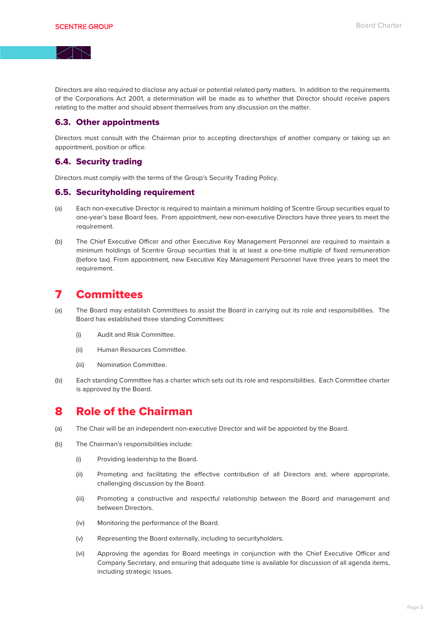Directors are also required to disclose any actual or potential related party matters. In addition to the requirements of the Corporations Act 2001, a determination will be made as to whether that Director should receive papers relating to the matter and should absent themselves from any discussion on the matter.

#### 6.3. Other appointments

Directors must consult with the Chairman prior to accepting directorships of another company or taking up an appointment, position or office.

#### 6.4. Security trading

Directors must comply with the terms of the Group's Security Trading Policy.

#### 6.5. Securityholding requirement

- (a) Each non-executive Director is required to maintain a minimum holding of Scentre Group securities equal to one-year's base Board fees. From appointment, new non-executive Directors have three years to meet the requirement.
- (b) The Chief Executive Officer and other Executive Key Management Personnel are required to maintain a minimum holdings of Scentre Group securities that is at least a one-time multiple of fixed remuneration (before tax). From appointment, new Executive Key Management Personnel have three years to meet the requirement.

## 7 Committees

- (a) The Board may establish Committees to assist the Board in carrying out its role and responsibilities. The Board has established three standing Committees:
	- (i) Audit and Risk Committee.
	- (ii) Human Resources Committee.
	- (iii) Nomination Committee.
- (b) Each standing Committee has a charter which sets out its role and responsibilities. Each Committee charter is approved by the Board.

## 8 Role of the Chairman

- (a) The Chair will be an independent non-executive Director and will be appointed by the Board.
- (b) The Chairman's responsibilities include:
	- (i) Providing leadership to the Board.
	- (ii) Promoting and facilitating the effective contribution of all Directors and, where appropriate, challenging discussion by the Board.
	- (iii) Promoting a constructive and respectful relationship between the Board and management and between Directors.
	- (iv) Monitoring the performance of the Board.
	- (v) Representing the Board externally, including to securityholders.
	- (vi) Approving the agendas for Board meetings in conjunction with the Chief Executive Officer and Company Secretary, and ensuring that adequate time is available for discussion of all agenda items, including strategic issues.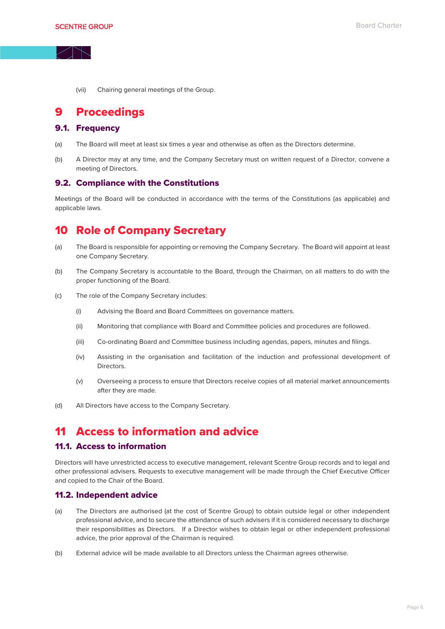

(vii) Chairing general meetings of the Group.

## 9 Proceedings

#### 9.1. Frequency

- (a) The Board will meet at least six times a year and otherwise as often as the Directors determine.
- (b) A Director may at any time, and the Company Secretary must on written request of a Director, convene a meeting of Directors.

#### 9.2. Compliance with the Constitutions

Meetings of the Board will be conducted in accordance with the terms of the Constitutions (as applicable) and applicable laws.

## 10 Role of Company Secretary

- (a) The Board is responsible for appointing or removing the Company Secretary. The Board will appoint at least one Company Secretary.
- (b) The Company Secretary is accountable to the Board, through the Chairman, on all matters to do with the proper functioning of the Board.
- (c) The role of the Company Secretary includes:
	- (i) Advising the Board and Board Committees on governance matters.
	- (ii) Monitoring that compliance with Board and Committee policies and procedures are followed.
	- (iii) Co-ordinating Board and Committee business including agendas, papers, minutes and filings.
	- (iv) Assisting in the organisation and facilitation of the induction and professional development of Directors.
	- (v) Overseeing a process to ensure that Directors receive copies of all material market announcements after they are made.
- (d) All Directors have access to the Company Secretary.

## 11 Access to information and advice

#### 11.1. Access to information

Directors will have unrestricted access to executive management, relevant Scentre Group records and to legal and other professional advisers. Requests to executive management will be made through the Chief Executive Officer and copied to the Chair of the Board.

#### 11.2. Independent advice

- (a) The Directors are authorised (at the cost of Scentre Group) to obtain outside legal or other independent professional advice, and to secure the attendance of such advisers if it is considered necessary to discharge their responsibilities as Directors. If a Director wishes to obtain legal or other independent professional advice, the prior approval of the Chairman is required.
- (b) External advice will be made available to all Directors unless the Chairman agrees otherwise.